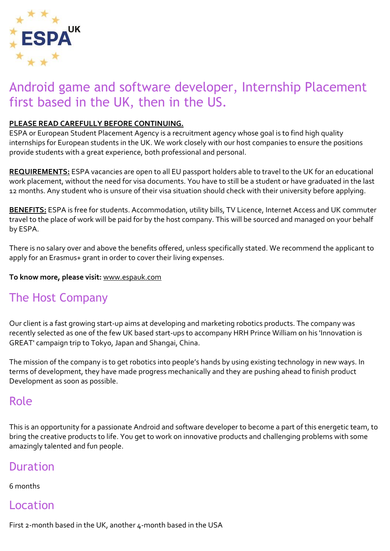

# Android game and software developer, Internship Placement first based in the UK, then in the US.

### **PLEASE READ CAREFULLY BEFORE CONTINUING.**

ESPA or European Student Placement Agency is a recruitment agency whose goal is to find high quality internships for European students in the UK. We work closely with our host companies to ensure the positions provide students with a great experience, both professional and personal.

**REQUIREMENTS:** ESPA vacancies are open to all EU passport holders able to travel to the UK for an educational work placement, without the need for visa documents. You have to still be a student or have graduated in the last 12 months. Any student who is unsure of their visa situation should check with their university before applying.

**BENEFITS:** ESPA is free for students. Accommodation, utility bills, TV Licence, Internet Access and UK commuter travel to the place of work will be paid for by the host company. This will be sourced and managed on your behalf by ESPA.

There is no salary over and above the benefits offered, unless specifically stated. We recommend the applicant to apply for an Erasmus+ grant in order to cover their living expenses.

### **To know more, please visit:** [www.espauk.com](http://www.espauk.com/)

# The Host Company

Our client is a fast growing start-up aims at developing and marketing robotics products. The company was recently selected as one of the few UK based start-ups to accompany HRH Prince William on his 'Innovation is GREAT' campaign trip to Tokyo, Japan and Shangai, China.

The mission of the company is to get robotics into people's hands by using existing technology in new ways. In terms of development, they have made progress mechanically and they are pushing ahead to finish product Development as soon as possible.

## Role

This is an opportunity for a passionate Android and software developer to become a part of this energetic team, to bring the creative products to life. You get to work on innovative products and challenging problems with some amazingly talented and fun people.

## Duration

### 6 months

## Location

First 2-month based in the UK, another 4-month based in the USA